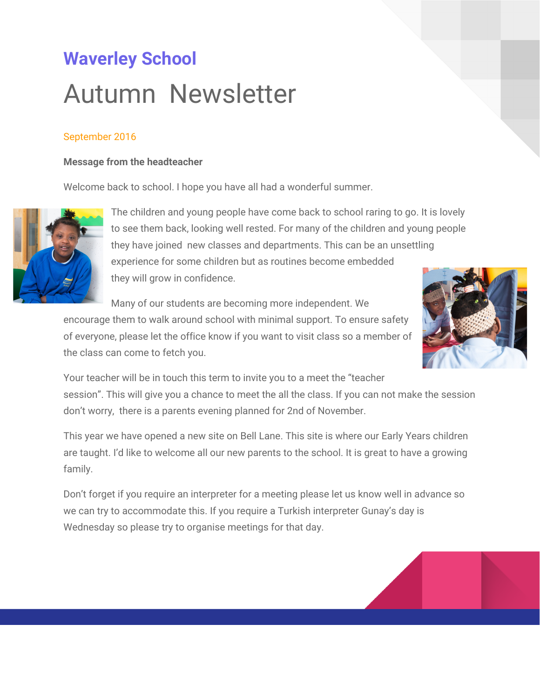# **Waverley School** Autumn Newsletter

#### September 2016

#### **Message from the headteacher**

Welcome back to school. I hope you have all had a wonderful summer.



The children and young people have come back to school raring to go. It is lovely to see them back, looking well rested. For many of the children and young people they have joined new classes and departments. This can be an unsettling experience for some children but as routines become embedded they will grow in confidence.

Many of our students are becoming more independent. We

encourage them to walk around school with minimal support. To ensure safety of everyone, please let the office know if you want to visit class so a member of the class can come to fetch you.



Your teacher will be in touch this term to invite you to a meet the "teacher session". This will give you a chance to meet the all the class. If you can not make the session don't worry, there is a parents evening planned for 2nd of November.

This year we have opened a new site on Bell Lane. This site is where our Early Years children are taught. I'd like to welcome all our new parents to the school. It is great to have a growing family.

Don't forget if you require an interpreter for a meeting please let us know well in advance so we can try to accommodate this. If you require a Turkish interpreter Gunay's day is Wednesday so please try to organise meetings for that day.

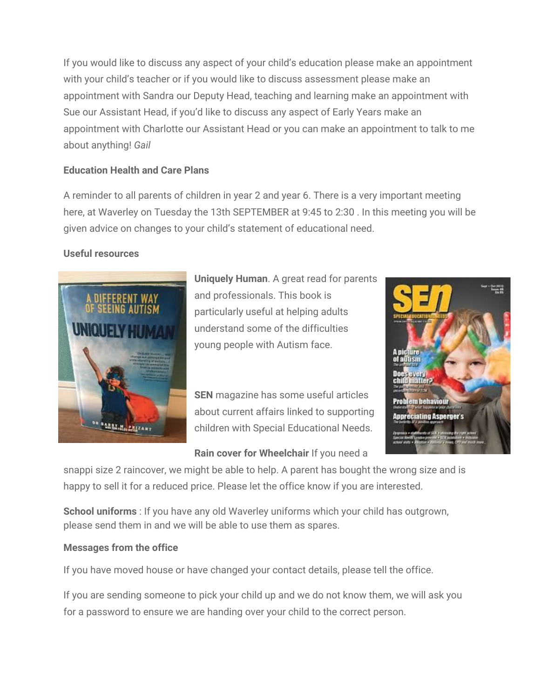If you would like to discuss any aspect of your child's education please make an appointment with your child's teacher or if you would like to discuss assessment please make an appointment with Sandra our Deputy Head, teaching and learning make an appointment with Sue our Assistant Head, if you'd like to discuss any aspect of Early Years make an appointment with Charlotte our Assistant Head or you can make an appointment to talk to me about anything! *Gail*

#### **Education Health and Care Plans**

A reminder to all parents of children in year 2 and year 6. There is a very important meeting here, at Waverley on Tuesday the 13th SEPTEMBER at 9:45 to 2:30 . In this meeting you will be given advice on changes to your child's statement of educational need.

#### **Useful resources**



**Uniquely Human**. A great read for parents and professionals. This book is particularly useful at helping adults understand some of the difficulties young people with Autism face.

**SEN** magazine has some useful articles about current affairs linked to supporting children with Special Educational Needs.



**Rain cover for Wheelchair** If you need a

snappi size 2 raincover, we might be able to help. A parent has bought the wrong size and is happy to sell it for a reduced price. Please let the office know if you are interested.

**School uniforms** : If you have any old Waverley uniforms which your child has outgrown, please send them in and we will be able to use them as spares.

#### **Messages from the office**

If you have moved house or have changed your contact details, please tell the office.

If you are sending someone to pick your child up and we do not know them, we will ask you for a password to ensure we are handing over your child to the correct person.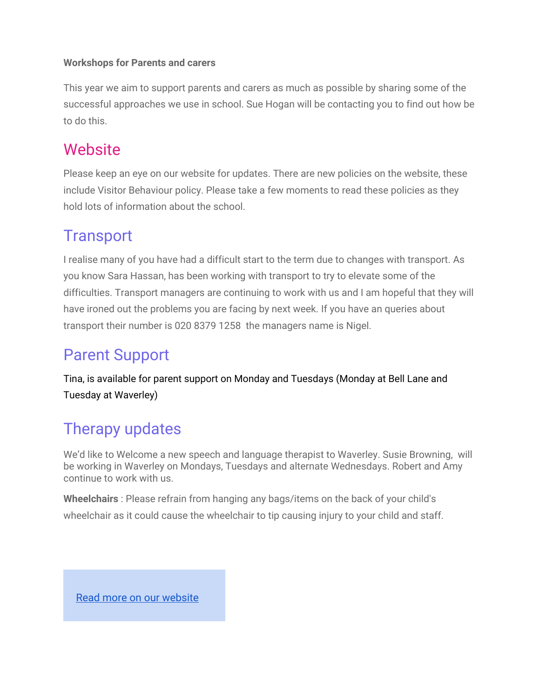#### **Workshops for Parents and carers**

This year we aim to support parents and carers as much as possible by sharing some of the successful approaches we use in school. Sue Hogan will be contacting you to find out how be to do this.

### **Website**

Please keep an eye on our website for updates. There are new policies on the website, these include Visitor Behaviour policy. Please take a few moments to read these policies as they hold lots of information about the school.

### **Transport**

I realise many of you have had a difficult start to the term due to changes with transport. As you know Sara Hassan, has been working with transport to try to elevate some of the difficulties. Transport managers are continuing to work with us and I am hopeful that they will have ironed out the problems you are facing by next week. If you have an queries about transport their number is 020 8379 1258 the managers name is Nigel.

## Parent Support

Tina, is available for parent support on Monday and Tuesdays (Monday at Bell Lane and Tuesday at Waverley)

# Therapy updates

We'd like to Welcome a new speech and language therapist to Waverley. Susie Browning, will be working in Waverley on Mondays, Tuesdays and alternate Wednesdays. Robert and Amy continue to work with us.

**Wheelchairs** : Please refrain from hanging any bags/items on the back of your child's wheelchair as it could cause the wheelchair to tip causing injury to your child and staff.

[Read more on our website](http://waverley-school.com/)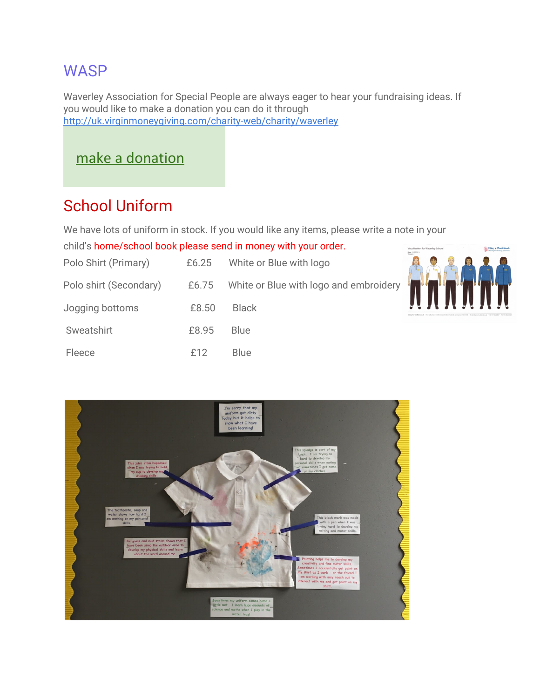### **WASP**

Waverley Association for Special People are always eager to hear your fundraising ideas. If you would like to make a donation you can do it through [http://uk.virginmoneygiving.com/charity-web/charity/waverl](http://uk.virginmoneygiving.com/charity-web/charity/waverely)ey

### [make a donation](http://uk.virginmoneygiving.com/charity-web/charity/finalCharityHomepage.action?charityId=1002943)

## School Uniform

We have lots of uniform in stock. If you would like any items, please write a note in your

child's home/school book please send in money with your order.

| Polo Shirt (Primary)   | £6.25 | White or Blue with logo                      |  |
|------------------------|-------|----------------------------------------------|--|
| Polo shirt (Secondary) |       | £6.75 White or Blue with logo and embroidery |  |
| Jogging bottoms        | £8.50 | <b>Black</b>                                 |  |
| Sweatshirt             | £8.95 | <b>Blue</b>                                  |  |
| Fleece                 | f12   | <b>Blue</b>                                  |  |